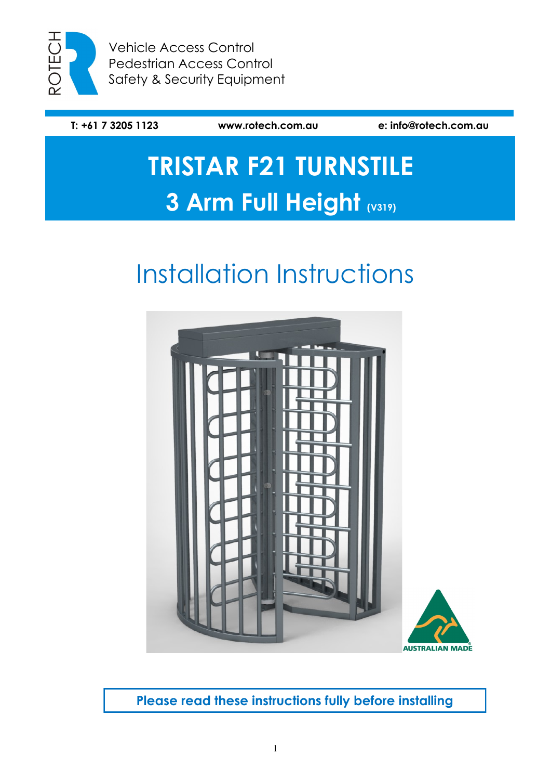

Vehicle Access Control Pedestrian Access Control Safety & Security Equipment

**T: +61 7 3205 1123 www.rotech.com.au e: info@rotech.com.au**

# **TRISTAR F21 TURNSTILE 3 Arm Full Height (V319)**

# Installation Instructions



**Please read these instructions fully before installing**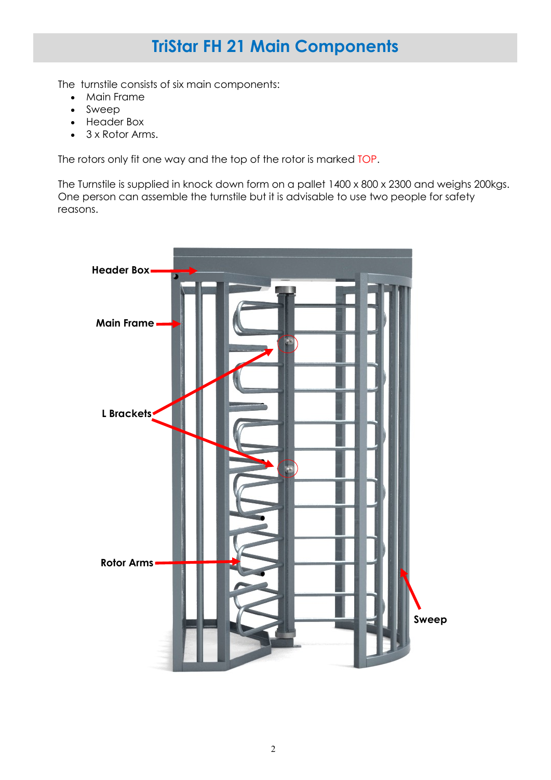### **TriStar FH 21 Main Components**

The turnstile consists of six main components:

- Main Frame
- Sweep
- Header Box
- 3 x Rotor Arms.

The rotors only fit one way and the top of the rotor is marked TOP.

The Turnstile is supplied in knock down form on a pallet 1400 x 800 x 2300 and weighs 200kgs. One person can assemble the turnstile but it is advisable to use two people for safety reasons.

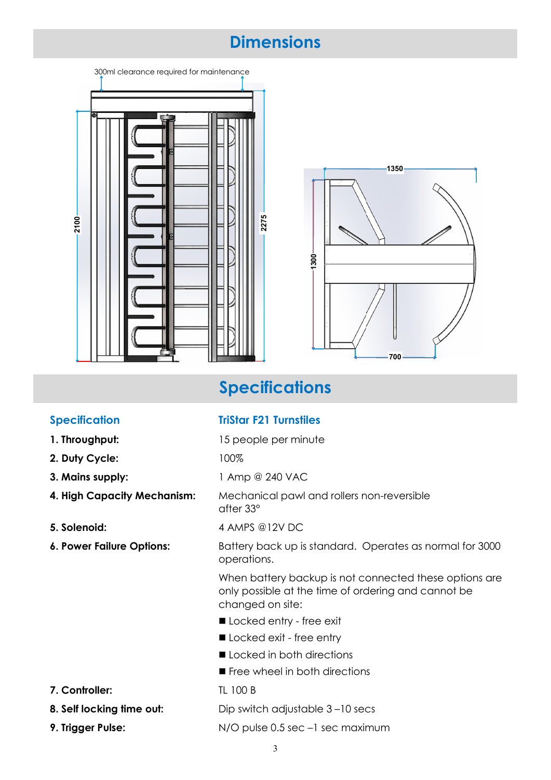### **Dimensions**

| 300ml clearance required for maintenance<br>ந<br>$2100 -$ | 2275 |
|-----------------------------------------------------------|------|
|-----------------------------------------------------------|------|



## **Specifications**

### **Specification TriStar F21 Turnstiles**

- **1. Throughput:** 15 people per minute
- **2. Duty Cycle:** 100%
- 
- 
- 
- 

- 
- 

**3. Mains supply:** 1 Amp @ 240 VAC

**4. High Capacity Mechanism:** Mechanical pawl and rollers non-reversible after 33°

**5. Solenoid:** 4 AMPS @12V DC

**6. Power Failure Options:** Battery back up is standard. Operates as normal for 3000 operations.

> When battery backup is not connected these options are only possible at the time of ordering and cannot be changed on site:

- Locked entry free exit
- Locked exit free entry
- Locked in both directions
- Free wheel in both directions
- **7. Controller:** TL 100 B

**8. Self locking time out:** Dip switch adjustable 3-10 secs

**9. Trigger Pulse:** N/O pulse 0.5 sec -1 sec maximum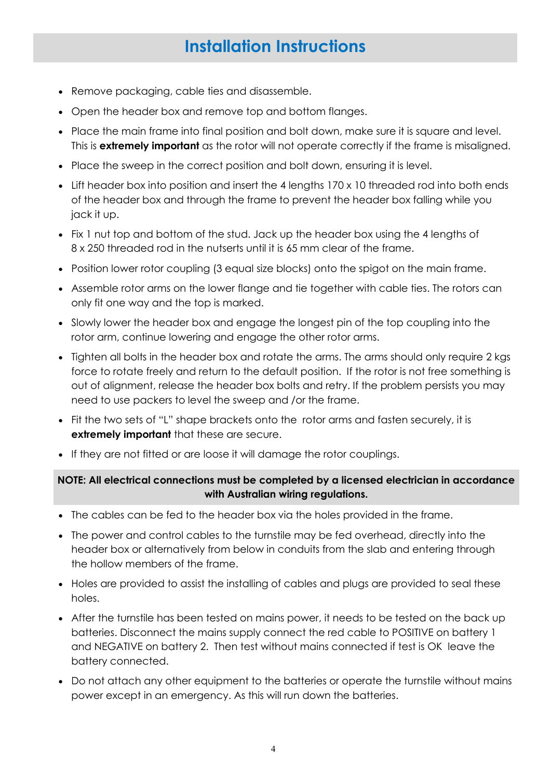### **Installation Instructions**

- Remove packaging, cable ties and disassemble.
- Open the header box and remove top and bottom flanges.
- Place the main frame into final position and bolt down, make sure it is square and level. This is **extremely important** as the rotor will not operate correctly if the frame is misaligned.
- Place the sweep in the correct position and bolt down, ensuring it is level.
- Lift header box into position and insert the 4 lengths 170 x 10 threaded rod into both ends of the header box and through the frame to prevent the header box falling while you jack it up.
- Fix 1 nut top and bottom of the stud. Jack up the header box using the 4 lengths of 8 x 250 threaded rod in the nutserts until it is 65 mm clear of the frame.
- Position lower rotor coupling (3 equal size blocks) onto the spigot on the main frame.
- Assemble rotor arms on the lower flange and tie together with cable ties. The rotors can only fit one way and the top is marked.
- Slowly lower the header box and engage the longest pin of the top coupling into the rotor arm, continue lowering and engage the other rotor arms.
- Tighten all bolts in the header box and rotate the arms. The arms should only require 2 kgs force to rotate freely and return to the default position. If the rotor is not free something is out of alignment, release the header box bolts and retry. If the problem persists you may need to use packers to level the sweep and /or the frame.
- Fit the two sets of "L" shape brackets onto the rotor arms and fasten securely, it is **extremely important** that these are secure.
- If they are not fitted or are loose it will damage the rotor couplings.

#### **NOTE: All electrical connections must be completed by a licensed electrician in accordance with Australian wiring regulations.**

- The cables can be fed to the header box via the holes provided in the frame.
- The power and control cables to the turnstile may be fed overhead, directly into the header box or alternatively from below in conduits from the slab and entering through the hollow members of the frame.
- Holes are provided to assist the installing of cables and plugs are provided to seal these holes.
- After the turnstile has been tested on mains power, it needs to be tested on the back up batteries. Disconnect the mains supply connect the red cable to POSITIVE on battery 1 and NEGATIVE on battery 2. Then test without mains connected if test is OK leave the battery connected.
- Do not attach any other equipment to the batteries or operate the turnstile without mains power except in an emergency. As this will run down the batteries.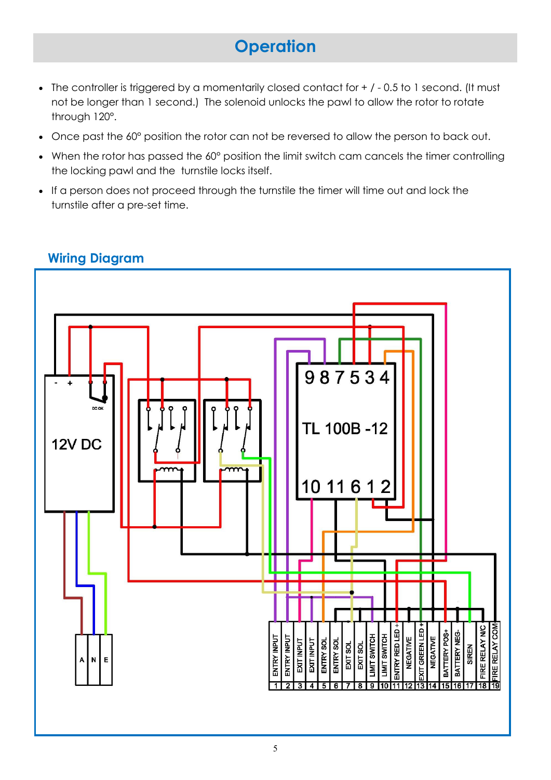## **Operation**

- The controller is triggered by a momentarily closed contact for  $+$  / 0.5 to 1 second. (It must not be longer than 1 second.) The solenoid unlocks the pawl to allow the rotor to rotate through 120°.
- Once past the 60° position the rotor can not be reversed to allow the person to back out.
- When the rotor has passed the 60° position the limit switch cam cancels the timer controlling the locking pawl and the turnstile locks itself.
- If a person does not proceed through the turnstile the timer will time out and lock the turnstile after a pre-set time.



### **Wiring Diagram**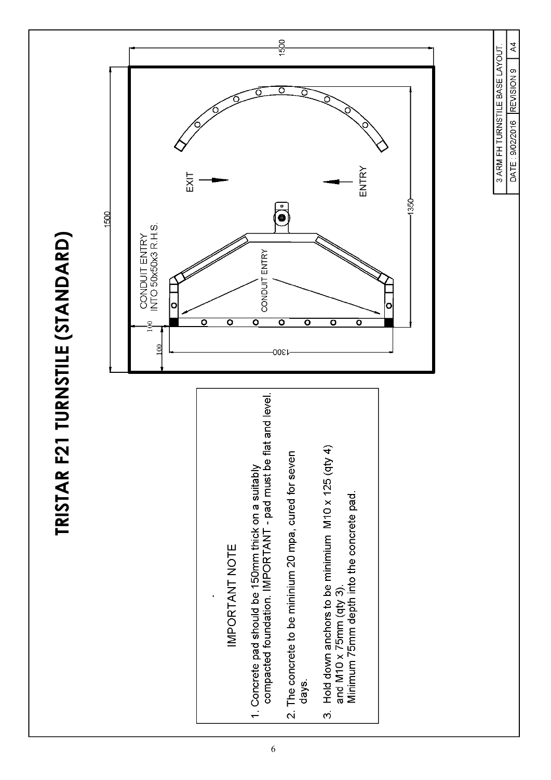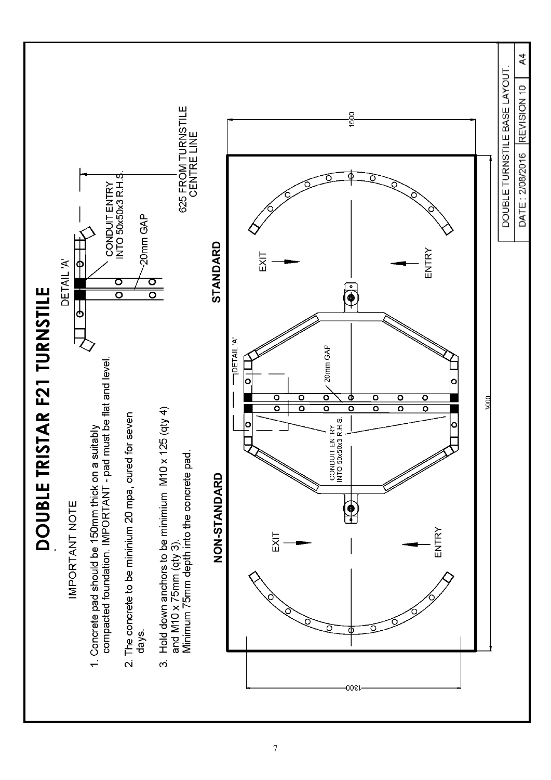